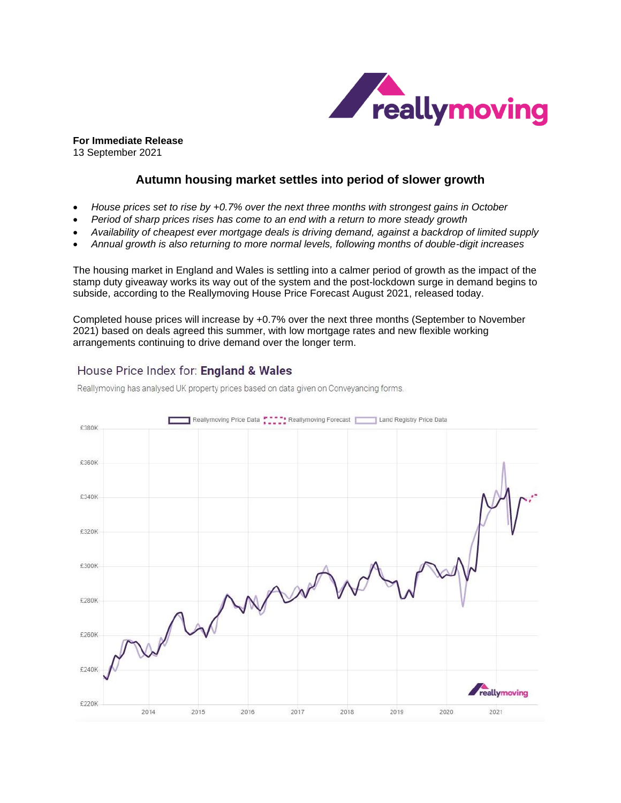

**For Immediate Release** 13 September 2021

# **Autumn housing market settles into period of slower growth**

- *House prices set to rise by +0.7% over the next three months with strongest gains in October*
- *Period of sharp prices rises has come to an end with a return to more steady growth*
- *Availability of cheapest ever mortgage deals is driving demand, against a backdrop of limited supply*
- *Annual growth is also returning to more normal levels, following months of double-digit increases*

The housing market in England and Wales is settling into a calmer period of growth as the impact of the stamp duty giveaway works its way out of the system and the post-lockdown surge in demand begins to subside, according to the Reallymoving House Price Forecast August 2021, released today.

Completed house prices will increase by +0.7% over the next three months (September to November 2021) based on deals agreed this summer, with low mortgage rates and new flexible working arrangements continuing to drive demand over the longer term.

# House Price Index for: England & Wales

Reallymoving has analysed UK property prices based on data given on Conveyancing forms.

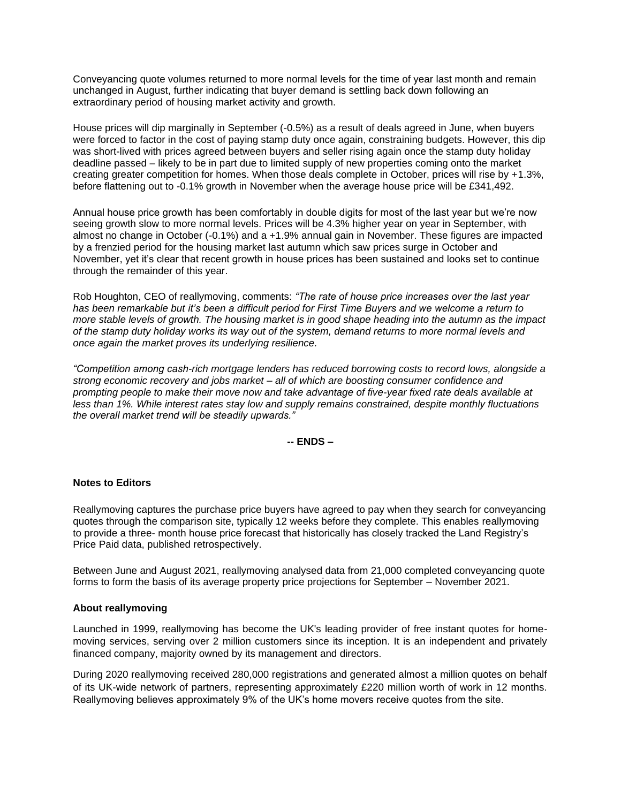Conveyancing quote volumes returned to more normal levels for the time of year last month and remain unchanged in August, further indicating that buyer demand is settling back down following an extraordinary period of housing market activity and growth.

House prices will dip marginally in September (-0.5%) as a result of deals agreed in June, when buyers were forced to factor in the cost of paying stamp duty once again, constraining budgets. However, this dip was short-lived with prices agreed between buyers and seller rising again once the stamp duty holiday deadline passed – likely to be in part due to limited supply of new properties coming onto the market creating greater competition for homes. When those deals complete in October, prices will rise by +1.3%, before flattening out to -0.1% growth in November when the average house price will be £341,492.

Annual house price growth has been comfortably in double digits for most of the last year but we're now seeing growth slow to more normal levels. Prices will be 4.3% higher year on year in September, with almost no change in October (-0.1%) and a +1.9% annual gain in November. These figures are impacted by a frenzied period for the housing market last autumn which saw prices surge in October and November, yet it's clear that recent growth in house prices has been sustained and looks set to continue through the remainder of this year.

Rob Houghton, CEO of reallymoving, comments: *"The rate of house price increases over the last year has been remarkable but it's been a difficult period for First Time Buyers and we welcome a return to more stable levels of growth. The housing market is in good shape heading into the autumn as the impact of the stamp duty holiday works its way out of the system, demand returns to more normal levels and once again the market proves its underlying resilience.* 

*"Competition among cash-rich mortgage lenders has reduced borrowing costs to record lows, alongside a strong economic recovery and jobs market – all of which are boosting consumer confidence and prompting people to make their move now and take advantage of five-year fixed rate deals available at less than 1%. While interest rates stay low and supply remains constrained, despite monthly fluctuations the overall market trend will be steadily upwards."* 

**-- ENDS –**

### **Notes to Editors**

Reallymoving captures the purchase price buyers have agreed to pay when they search for conveyancing quotes through the comparison site, typically 12 weeks before they complete. This enables reallymoving to provide a three- month house price forecast that historically has closely tracked the Land Registry's Price Paid data, published retrospectively.

Between June and August 2021, reallymoving analysed data from 21,000 completed conveyancing quote forms to form the basis of its average property price projections for September – November 2021.

#### **About reallymoving**

Launched in 1999, reallymoving has become the UK's leading provider of free instant quotes for homemoving services, serving over 2 million customers since its inception. It is an independent and privately financed company, majority owned by its management and directors.

During 2020 reallymoving received 280,000 registrations and generated almost a million quotes on behalf of its UK-wide network of partners, representing approximately £220 million worth of work in 12 months. Reallymoving believes approximately 9% of the UK's home movers receive quotes from the site.